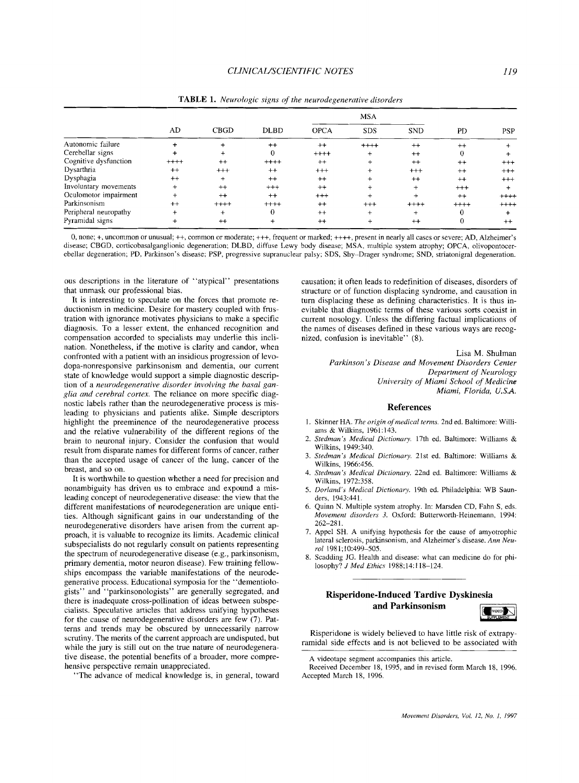|                       | AD      | <b>CBGD</b> | <b>DLBD</b> | <b>MSA</b>  |            |            |          |            |
|-----------------------|---------|-------------|-------------|-------------|------------|------------|----------|------------|
|                       |         |             |             | <b>OPCA</b> | <b>SDS</b> | <b>SND</b> | PD       | <b>PSP</b> |
| Autonomic failure     |         |             | $++$        | $++$        | $++++$     | $^{++}$    | $^{++}$  |            |
| Cerebellar signs      |         |             | $\bf{0}$    | $++++$      | $\ddot{}$  | $++$       | 0        |            |
| Cognitive dysfunction | $++++$  | $++$        | $++++$      | $^{++}$     |            | $++$       | $^{++}$  | $^{+++}$   |
| Dysarthria            | $++$    | $^{+++}$    | $++$        | $^{+++}$    | $\ddot{}$  | $^{++}$    | $^{++}$  | $^{+++}$   |
| Dysphagia             | $^{++}$ | $\ddot{}$   | $++$        | $++$        | $\ddot{}$  | $++$       | $++$     | $^{++}$    |
| Involuntary movements | $+$     | $^{++}$     | $+++$       | $++$        |            | $+$        | $^{+++}$ |            |
| Oculomotor impairment | $^{+}$  | $++$        | $++$        | $^{+++}$    | $^{+}$     |            | $^{++}$  | $++++$     |
| Parkinsonism          | $++$    | $++++$      | $+++++$     | $++$        | $+++$      | $++++$     | $+++++$  | $+++++$    |
| Peripheral neuropathy |         |             | 0           | $^{++}$     | $\ddot{}$  |            |          |            |
| Pyramidal signs       |         | $^{++}$     |             | $^{++}$     |            | $^{++}$    |          | $^{++}$    |

**TABLE 1.** *Neurologic signs* **of** *the neurodegenerutive disorders* 

0, none; +, uncommon or unusual; ++, common or moderate; +++, frequent or marked; ++++, present in nearly all cases or severe; AD, Alzheimer's disease; CBGD, corticobasalganglionic degeneration; DLBD, diffuse Lewy body disease; MSA, inultiple system atrophy; OPCA, olivopontocerebellar degeneration; PD, Parkinson's disease; PSP, progressive supranuclear palsy; SDS, Shy-Drager syndrome; SND, striatonigral degeneration.

ous descriptions in the literature of "atypical" presentations that unmask our professional bias.

It is interesting to speculate on the forces that promote reductionism in medicine. Desire for mastery coupled with frustration with ignorance motivates physicians to make a specific diagnosis. To a lesser extent, the enhanced recognition and compensation accorded to specialists may underlie this inclination. Nonetheless, if the motive is clarity and candor, when confronted with a patient with an insidious progression of levodopa-nonresponsive parkinsonism and dementia, our current state of knowledge would support a simple diagnostic description of a *neurodegenerative disorder involving the basal ganglia and cerebral cortex.* The reliance on more specific diagnostic labels rather than the neurodegenerative process is misleading to physicians and patients alike. Simple descriptors highlight the preeminence of the neurodegenerative process and the relative vulnerability of the different regions of the brain to neuronal injury. Consider the confusion that would result from disparate names for different forms of cancer, rather than the accepted usage of cancer of the lung, cancer of the breast, and so on.

It is worthwhile to question whether a need for precision and nonambiguity has driven us to embrace and expound a misleading concept of neurodegenerative disease: the view that the different manifestations of neurodegeneration are unique entities. Although significant gains in our understanding of the neurodegenerative disorders have arisen from the current approach, it is valuable to recognize its limits. Academic clinical subspecialists do not regularly consult on patients representing the spectrum of neurodegenerative disease (e.g., parkinsonism, primary dementia, motor neuron disease). Few training fellowships encompass the variable manifestations of the neurodegenerative process. Educational symposia for the "dementiologists" and "parkinsonologists" are generally segregated, and there is inadequate cross-pollination of ideas between subspecialists. Speculative articles that address unifying hypotheses for the cause of neurodegenerative disorders are few **(7).** Patterns and trends may be obscured by unnecessarily narrow scrutiny. The merits of the current approach are undisputed, but while the jury is still out on the true nature of neurodegenerative disease, the potential benefits of a broader, more comprehensive perspective remain unappreciated.

"The advance of medical knowledge is, in general, toward

causation; it often leads to redefinition of diseases, disorders of structure or of function displacing syndrome, and causation in turn displacing these as defining characteristics. It is thus inevitable that diagnostic terms of these various sorts coexist in current nosology. Unless the differing factual implications of the names of diseases defined in these various ways are recognized, confusion **is** inevitable" (8).

> Lisa M. Shulman *Parkinson's Diseuse and Movement Disorders Center Department oj Neurology University of Miami School of Medicine Miami, Florida, U.S.A.*

#### **References**

- 2. **1.**  Skinner HA. *The origin of medical terms.* 2nd ed. Baltimore: Williams & Wilkins, 1961:143.
- *Stedman's Medical Dictionary.* 17th ed. Baltimore: Williams & Wilkins, 1949:340.
- *3. Stedman's Medical Dictionary.* 21st ed. Baltimore: Williams & Wilkins, 1966:456.
- 4. *Stedman* 's *Medical Dictionary.* 22nd ed. Baltimore: Williams & Wilkina, 1972:358.
- *5. Doriand's Medical Dictionary.* 19th ed. Philadelphia: WB Saunders, 1943:441.
- 6. Quinn N. Multiple system atrophy. In: Marsden CD, Fahn S, eds. *Movement disorders 3.* Oxford: Butterworth-Heinemann, 1994: 262-28 I.
- 7. Appel SH. A unifying hypothesis for the cause of amyotrophic lateral sclerosis, parkinsonism, and Alzheimer's disease. *Ann Neurol* 1981;10:499-505.
- 8. Scadding JG. Health and disease: what can medicine do for philosophy? *J Med Ethics* 1988;14:1 18-124.

# **Risperidone-Induced Tardive Dyskinesia**<br>
and Parkinsonism **Parking and Parkinsonism**



Risperidone is widely believed to have little risk of extrapyramidal side effects and is not believed to be associated with

A videotape segment accompanies this article.

Received December 18, 1995, and in revised form March 18, 1996. Accepted March 18, 1996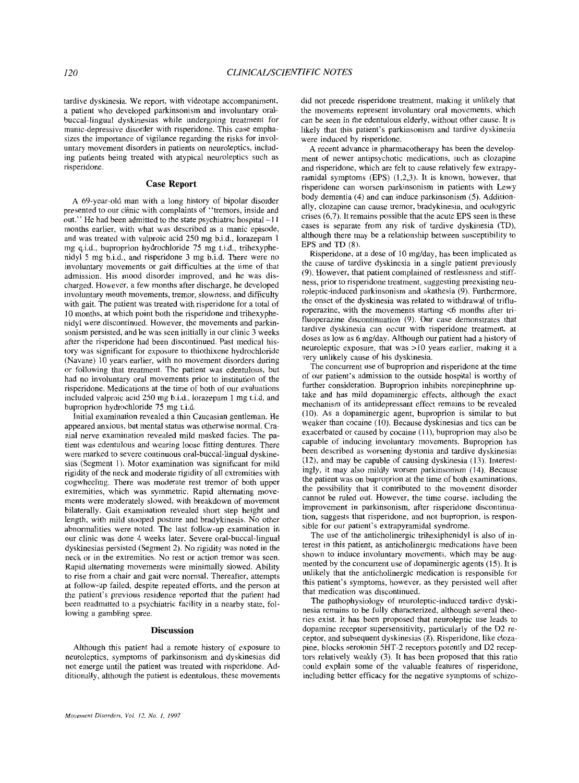tardive dyskinesia. We report, with videotape accompaniment, a patient who developed parkinsonism and involuntary oralbuccal-lingual dyskinesias while undergoing treatment for manic-depressive disorder with risperidone. This case emphasizes the importance of vigilance regarding the risks for involuntary movement disorders in patients on neuroleptics, including patients being treated with atypical neuroleptics such as risperidone.

#### **Case Report**

**A** 69-year-old man with a long history of bipolar disorder presented to our clinic with complaints of "tremors, inside and out." He had been admitted to the state psychiatric hospital -1 **<sup>1</sup>** months earlier, with what was described as a manic episode, and was treated with valproic acid 250 mg b.i.d., lorazepam 1 mg q.i.d., buproprion hydrochloride 75 mg t.i.d., trihexyphenidyl *5* mg bid., and risperidone 3 mg b.i.d. There were no involuntary movements or gait difficulties at the time of that admission. His mood disorder improved, and he was discharged. However, a few months after discharge, he developed involuntary mouth movements, tremor, slowness, and difficulty with gait. The patient was treated with risperidone for a total of 10 months, at which point both the risperidone and trihexyphenidyl were discontinued. However, the movements and parkinsonism persisted, and he was seen initially in our clinic 3 weeks after the risperidone had been discontinued. Past medical history was significant for exposure to thiothixene hydrochloride (Navane) 10 years earlier, with no movement disorders during or following that treatment. The patient was edentulous, but had no involuntary oral movements prior to institution of the risperidone. Medications at the time of both of our evaluations included valproic acid 250 mg bid., lorazepam 1 mg t.i.d, and buproprion hydrochloride 75 mg t.i.d.

Initial examination revealed a thin Caucasian gentleman. He appeared anxious, but mental status was otherwise normal. Cranial nerve examination revealed mild masked facies. The patient was edentulous and wearing loose fitting dentures. There were marked to severe continuous oral-buccal-lingual dyskinesias (Segment 1). Motor examination was significant for mild rigidity of the neck and moderate rigidity of all extremities with cogwheeling. There was moderate rest tremor of both upper extremities, which was symmetric. Rapid alternating movements were moderately slowed, with breakdown of movement bilaterally. Gait examination revealed short step height and length, with mild stooped posture and bradykinesis. No other abnormalities were noted. The last follow-up examination in our clinic was done 4 weeks later. Severe oral-buccal-lingual dyskinesias persisted (Segment 2). No rigidity was noted in the neck or in the extremities. No rest or action tremor was seen. Rapid alternating movements were minimally slowed. Ability to rise from a chair and gait were normal. Thereafter, attempts at follow-up failed, despite repeated efforts, and the person at the patient's previous residence reported that the patient had been readmitted to a psychiatric facility in a nearby state, following a gambling spree.

### **Discussion**

Although this patient had a remote history of exposure to neuroleptics, symptoms of parkinsonism and dyskinesias did not emerge until the patient was treated with risperidone. Additionally, although the patient is edentulous, these movements did not precede risperidone treatment, making it unlikely that the movements represent involuntary oral movements, which can be seen in the edentulous elderly, without other cause. It is likely that this patient's parkinsonism and tardive dyskinesia were induced by risperidone.

A recent advance in pharmacotherapy has been the development of newer antipsychotic medications, such as clozapine and risperidone, which are felt to cause relatively few extrapyramidal symptoms (EPS) (1,2,3). It is known, however, that risperidone can worsen parkinsonism in patients with Lewy body dementia (4) and can induce parkinsonism *(5).* Additionally, clozapine can cause tremor, bradykinesia, and oculogyric crises (6,7). It remains possible that the acute EPS seen in these cases is separate from any risk of tardive dyskinesia (TD), although there may be a relationship between susceptibility to EPS and TD (8).

Risperidone, at a dose of 10 mg/day, has been implicated as the cause of tardive dyskinesia in a single patient previously (9). However, that patient complained of restlessness and stiffness, prior to risperidone treatment, suggesting preexisting neuroleptic-induced parkinsonism and akathesia (9). Furthermore, the onset of the dyskinesia was related to withdrawal of trifluroperazine, with the movements starting <6 months after trifluoperazine discontinuation (9). Our case demonstrates that tardive dyskinesia can occur with risperidone treatment, at doses as low as 6 mg/day. Although our patient had a history of neuroleptic exposure, that was >I0 years earlier, making it a very unlikely cause of his dyskinesia.

The concurrent use of buproprion and risperidone at the time of our patient's admission to the outside hospital is worthy of further consideration. Buproprion inhibits norepinephrine uptake and has mild dopaminergic effects, although the exact mechanism of its antidepressant effect remains to be revealed (10). As a dopaminergic agent, buproprion is similar to but weaker than cocaine (10). Because dyskinesias and tics can be exacerbated or caused by cocaine (11), buproprion may also be capable of inducing involuntary movements. Buproprion has been described as worsening dystonia and tardive dyskinesias (12), and may be capable of causing dyskinesia (13). Interestingly, it may also mildly worsen parkinsonism (14). Because the patient was on buproprion at the time of both examinations, the possibility that it contributed to the movement disorder cannot be ruled out. However, the time course, including the improvement in parkinsonism, after risperidone discontinuation, suggests that risperidone, and not buproprion, is responsible for our patient's extrapyramidal syndrome.

The use of the anticholinergic trihexiphenidyl is also of interest in this patient, as anticholinergic medications have been shown to induce involuntary movements, which may be augmented by the concurrent use of dopaminergic agents (15). It is unlikely that the anticholinergic medication is responsible for this patient's symptoms, however, as they persisted well after that medication was discontinued.

The pathophysiology of neuroleptic-induced tardive dyskinesia remains to be fully characterized, although several theories exist. It has been proposed that neuroleptic use leads to dopamine receptor supersensitivity, particularly of the D2 receptor, and subsequent dyskinesias **(8).** Risperidone, like clozapine, blocks serotonin 5HT-2 receptors potently and D2 receptors relatively weakly (3). It has been proposed that this ratio could explain some of the valuable features of risperidone, including better efficacy for the negative symptoms of schizo